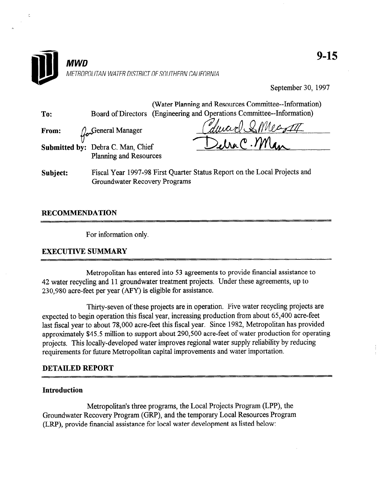

September 30, 1997

|          | (Water Planning and Resources Committee--Information)                     |
|----------|---------------------------------------------------------------------------|
| To:      | Board of Directors (Engineering and Operations Committee--Information)    |
| From:    | durced I. Meant<br>Ceneral Manager                                        |
|          | Elra C. Man<br>Submitted by: Debra C. Man, Chief                          |
|          | Planning and Resources                                                    |
| Subject: | Fiscal Year 1997-98 First Quarter Status Report on the Local Projects and |
|          | Groundwater Recovery Programs                                             |

## RECOMMENDATION

ċ

For information only.

## EXECUTIVE SUMMARY

Metropolitan has entered into 53 agreements to provide financial assistance to we experience and 12 agreements to provide matter assistance  $42$  water recycling and 11 ground water treatment projects.

Thirty-seven of these projects are in operation. Five water recycling projects are expected to begin operation. This water recycling projects at expected to begin operation this fiscal year, increasing production from about 65,400 acre-feet last fiscal vear to about 78,000 acre-feet this fiscal year. Since 1982, Metropolitan has provided approximately \$45.5 million to support about 290,500 acre-feet of water production for operating projects. This locally-developed water improves regional water supply reliability by reducing<br>requirements for future Metropolitan capital improvements and water importation.

#### **Introduction**

Metropolitan's three programs, the Local Projects Program (LPP), the Groundwater Recovery Program (GRP), and the temporary Local Resources Program (LRP), provide financial assistance for local water development as listed below: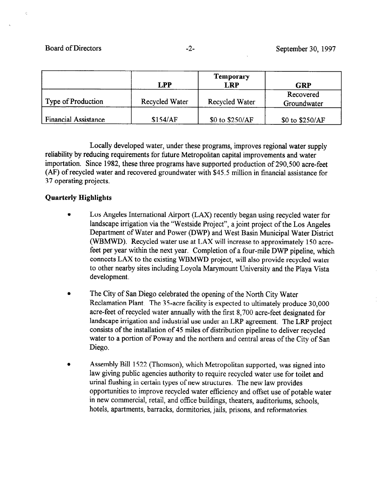Board of Directors -2- September 30, 1997

|                             | LPP            | <b>Temporary</b><br><b>LRP</b> | <b>GRP</b>               |
|-----------------------------|----------------|--------------------------------|--------------------------|
| Type of Production          | Recycled Water | <b>Recycled Water</b>          | Recovered<br>Groundwater |
| <b>Financial Assistance</b> | \$154/AF       | \$0 to \$250/AF                | \$0 to \$250/AF          |

Locally developed water, under these programs, improves regional water supply reliability by reducing requirements for future Metropolitan capital improvements and water importation. Since 1982, these three programs have supported production of 290,500 acre-feet (AF) of recycled water and recovered groundwater with \$45.5 million in financial assistance for 37 operating projects.

# Quarterly Highlights

- Los Angeles International Airport (LAX) recently began using recycled water for landscape irrigation via the "Westside Project", a joint project of the Los Angeles Department of Water and Power (DWP) and West Basin Municipal Water District (WBMWD). Recycled water use at LAX will increase to approximately 150 acrefeet per year within the next year. Completion of a four-mile DWP pipeline, which connects LAX to the existing WBMWD project, will also provide recycled water to other nearby sites including Loyola Marymount University and the Playa Vista development.
- The City of San Diego celebrated the opening of the North City Water Reclamation Plant. The 35-acre facility is expected to ultimately produce 30,000 acre-feet of recycled water annually with the first 8,700 acre-feet designated for landscape irrigation and industrial use under an LRP agreement. The LRP project consists of the installation of 45 miles of distribution pipeline to deliver recycled water to a portion of Poway and the northern and central areas of the City of San Diego.
- Assembly Bill 1522 (Thomson), which Metropolitan supported, was signed into law giving public agencies authority to require recycled water use for toilet and urinal flushing in certain types of new structures. The new law provides opportunities to improve recycled water efficiency and offset use of potable water in new commercial, retail, and office buildings, theaters, auditoriums, schools, hotels, apartments, barracks, dormitories, jails, prisons, and reformatories.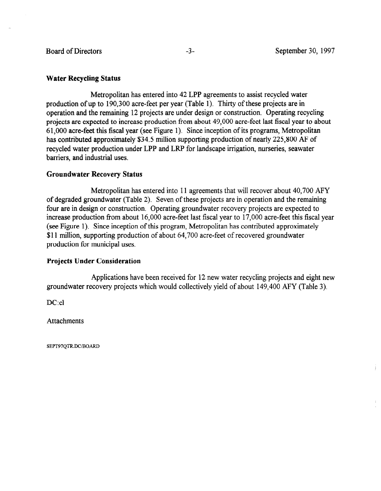## Water Recycling Status

Metropolitan has entered into 42 LPP agreements to assist recycled water production of up to 190,300 acre-feet per year (Table 1). Thirty of these projects are in operation and the remaining 12 projects are under design or construction. Operating recycling projects are expected to increase production from about 49,000 acre-feet last fiscal year to about 61,000 acre-feet this fiscal year (see Figure 1). Since inception of its programs, Metropolitan has contributed approximately \$34.5 million supporting production of nearly 225,800 AF of recycled water production under LPP and LRP for landscape irrigation, nurseries, seawater barriers, and industrial uses.

## Groundwater Recovery Status

Metropolitan has entered into 11 agreements that will recover about 40,700 AFY of degraded groundwater (Table 2). Seven of these projects are in operation and the remaining four are in design or construction. Operating groundwater recovery projects are expected to increase production from about 16,000 acre-feet last fiscal year to 17,000 acre-feet this fiscal year (see Figure 1). Since inception of this program, Metropolitan has contributed approximately \$11 million, supporting production of about 64,700 acre-feet of recovered groundwater production for municipal uses.

#### Projects Under Consideration

Applications have been received for 12 new water recycling projects and eight new Applications have been received for  $12$  new water recycling projects and eight ne

DC:cl

SEPT97OTR.DC/BOARD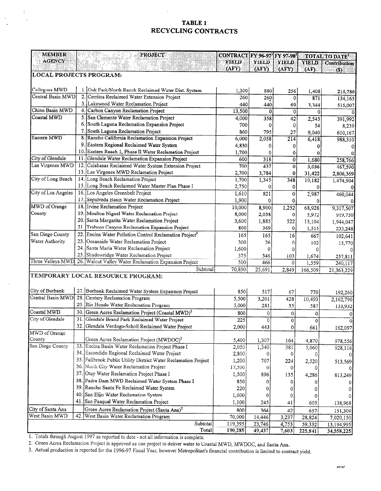## TABLE 1 RECYCLING CONTRACTS

| <b>MEMBER</b>                      |     | <b>PROJECT</b>                                                                                        | CONTRACT FY 96-97 FY 97-981 |        |                |              | TOTAL TO DATE!      |
|------------------------------------|-----|-------------------------------------------------------------------------------------------------------|-----------------------------|--------|----------------|--------------|---------------------|
| <b>AGENCY</b>                      |     |                                                                                                       | YIELD                       | YIELD  | YIELD          | <b>YIELD</b> | <b>Contribution</b> |
|                                    |     |                                                                                                       | (AFY)                       | (AFY)  | (AFY)          | (AF)         | (S)                 |
| <b>LOCAL PROJECTS PROGRAM:</b>     |     |                                                                                                       |                             |        |                |              |                     |
|                                    |     |                                                                                                       |                             |        |                |              |                     |
| Calleguas MWD<br>Central Basin MWD |     | 1. Oak Park/North Ranch Reclaimed Water Dist. System<br>2. Cerritos Reclaimed Water Extension Project | 1,300                       | 880    | 256            | 1,408        | 216,786             |
|                                    |     | 3.1<br>Lakewood Water Reclamation Project                                                             | 260                         | 260    | 0              | 871          | 134,165             |
| Chino Basin MWD                    | 4.  |                                                                                                       | 440                         | 440    | 69             | 3,344        | 515,007             |
|                                    |     | Carbon Canyon Reclamation Project                                                                     | 13,500                      | 0      | 0              | $\bf{0}$     | 0                   |
| Coastal MWD                        |     | 5. San Clemente Water Reclamation Project                                                             | 4,000                       | 358    | 42             | 2,545        | 391,992             |
|                                    | 6.  | South Laguna Reclamation Expansion Project                                                            | 700                         | 0      | 0              | 54           | 8,239               |
|                                    | 7.  | South Laguna Reclamation Project                                                                      | 860                         | 795    | 27             | 9,040        | 610,167             |
| Eastern MWD                        |     | 8. Rancho California Reclamation Expansion Project                                                    | 6,000                       | 2,058  | 214            | 6,418        | 988,310             |
|                                    |     | 9. Eastern Regional Reclaimed Water System                                                            | 4,830                       | 0      | 0              | 0            |                     |
|                                    |     | 10. Eastern Reach 1, Phase II Water Reclamation Project                                               | 1,700                       | 0      | 0              | 0            |                     |
| City of Glendale                   |     | 11. Glendale Water Reclamation Expansion Project                                                      | 600                         | 318    | $\overline{0}$ | 1,680        | 258,766             |
| Las Virgenes MWD                   | 12. | Calabasas Reclaimed Water System Extension Project                                                    | 700                         | 437    | ō              | 3,036        | 467,590             |
|                                    |     | 13. Las Virgenes MWD Reclamation Project                                                              | 2,700                       | 3,784  | 0              | 31,422       | 2,806,369           |
| City of Long Beach                 |     | 14. Long Beach Reclamation Project                                                                    | 1,700                       | 1,345  | 348            | 10,182       | 1,474,904           |
|                                    |     | 15. Long Beach Reclaimed Water Master Plan Phase I                                                    | 2,750                       | 0      | 0              | 0            |                     |
| City of Los Angeles                |     | 16. Los Angeles Greenbelt Project                                                                     | 1,610                       | 821    | $\bf{0}$       | 2,987        | 460,044             |
|                                    |     | 17. Sepulveda Basin Water Reclamation Project                                                         | 1,900                       | 0      | 0              | 0            |                     |
| MWD of Orange                      |     | 18. Irvine Reclamation Project                                                                        | 10,000                      | 8,900  | 1,252          | 68,928       | 9,317,507           |
| County                             |     | 19. Moulton Niguel Water Reclamation Project                                                          | 8,000                       | 2,038  | 0              | 5,972        | 919,750             |
|                                    |     | 20. Santa Margarita Water Reclamation Project                                                         | 3,600                       | 1,885  | 522            | 13,104       | 1,944,047           |
|                                    | 21  | Trabuco Canyon Reclamation Expansion Project                                                          | 800                         | 369    | 0              | 1,515        | 233,248             |
| San Diego County                   |     | 22. Encina Water Pollution Control Reclamation Project3                                               | 165                         | 165    | 16             | 667          | 102,641             |
| Water Authority                    |     | 23. Oceanside Water Reclamation Project                                                               | 300                         | 26     | 0              | 102          | 15,770              |
|                                    | 24. | Santa Maria Water Reclamation Project                                                                 | 1,600                       | 0      | 0              | $\Omega$     |                     |
|                                    | 25  | Shadowridge Water Reclamation Project                                                                 | 375                         | 346    | 103            | 1,674        | 257,811             |
| Three Valleys MWD                  |     | 26. Walnut Valley Water Reclamation Expansion Project                                                 | 500                         | 466    | 0              | 1,559        | 240,117             |
|                                    |     | Subtotal                                                                                              | 70,890                      | 25,691 | 2,849          | 166,509      | 21,363,229          |
|                                    |     | TEMPORARY LOCAL RESOURCE PROGRAM:                                                                     |                             |        |                |              |                     |
|                                    |     |                                                                                                       |                             |        |                |              |                     |
| City of Burbank                    | 27. | Burbank Reclaimed Water System Expansion Project                                                      | 850                         | 517    | 67             | 770          | 192,260             |
| Central Basin MWD                  | 28. | Century Reclamation Program                                                                           | 5,500                       | 3,201  | 428            | 10,493       | 2,162,790           |
|                                    | 29  | Rio Hondo Water Reclamation Program                                                                   | 5,000                       | 281    | 35             | 587          | 133,932             |
| Coastal MWD                        | 30. | Green Acres Reclamation Project (Coastal MWD) <sup>2</sup>                                            | 800                         | 0      | 0              | 0            |                     |
| City of Glendale                   | 31. | Glendale Brand Park Reclaimed Water Project                                                           | 225                         | 0      | 0              | $\mathbf 0$  |                     |
|                                    | 32. | Glendale Verdugo-Scholl Reclaimed Water Project                                                       | 2,000                       | 443    | $\overline{0}$ | 661          | 162,097             |
| MWD of Orange                      |     |                                                                                                       |                             |        |                |              |                     |
| County                             |     | Green Acres Reclamation Project (MWDOC) <sup>2</sup>                                                  | 5,400                       | 1,307  | 164            | 4,870        | 978,556             |
| San Diego County                   | 33. | Encina Basin Water Reclamation Project Phase I                                                        | 2,050                       | 1,340  | 381            | 5,060        | 928,116             |
|                                    | 34. | Escondido Regional Reclaimed Water Project                                                            | 2,800                       | 0      | 0              |              |                     |
|                                    |     | 35. Fallbrook Public Utility District Water Reclamation Project                                       | 1,200                       | 707    | 224            | 2,520        |                     |
|                                    |     | 36. North City Water Reclamation Project                                                              | 17,500                      | 0      | 0              |              | 513,569             |
|                                    | 37. | Otay Water Reclamation Project Phase I                                                                | 1,500                       | 896    | 135            |              |                     |
|                                    |     | 38. Padre Dam MWD Reclaimed Water System Phase I                                                      | 850                         |        |                | 4,286        | 813,249             |
|                                    | 39. | Rancho Santa Fe Reclaimed Water System                                                                |                             | 0      | 0              |              |                     |
|                                    | 40. | San Elijo Water Reclamation System                                                                    | 220                         | 0      | 0              |              |                     |
|                                    |     |                                                                                                       | 1,600                       | 0      | 0              |              |                     |
|                                    | 41. | San Pasqual Water Reclamation Project                                                                 | 1,100                       | 245    | 41             | 605          | 138,968             |
| City of Santa Ana                  |     | Green Acres Reclamation Project (Santa Ana) <sup>2</sup>                                              | 800                         | 364    | 42             | 657          | 151,309             |
| West Basin MWD                     |     | 42. West Basin Water Reclamation Program                                                              | 70,000                      | 14,446 | 3,237          | 28,824       | 7,020,150           |
|                                    |     | Subtotal                                                                                              | 119,395                     | 23,746 | 4,753          | 59,332       | 13,194,995          |
|                                    |     | Total                                                                                                 | 190.285                     | 49 437 | 7.6031         | 225.941      | マイ くとの つつく          |

I. Totals through August 1997 as reported to date - not all information is complete.

2. Green Acres Reclamation Project is approved as one project to deliver water to Coastal MWD, MWDGC, and Santa Ana.

3. Actual production is reported for the 1996-97 Fiscal Year, however Metropolitan's financial contribution is limited to contract yield.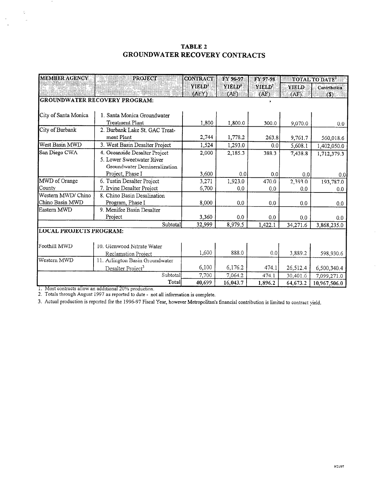## TABLE 2 GROUNDWATER RECOVERY CONTRACTS

| <b>MEMBER AGENCY</b> | <b>PROJECT</b>                       | <b>CONTRACT</b>    | FY 96-97           | FY 97-98           | TOTAL TO DATE <sup>2</sup> |              |  |  |
|----------------------|--------------------------------------|--------------------|--------------------|--------------------|----------------------------|--------------|--|--|
|                      |                                      | YIELD <sup>1</sup> | YIELD <sup>2</sup> | YIELD <sup>2</sup> | <b>YIELD</b>               | Contribution |  |  |
|                      |                                      | (AFY)              | (AF)               | (AF)               | (AF)                       | (3)          |  |  |
|                      | <b>GROUNDWATER RECOVERY PROGRAM:</b> |                    |                    | ,                  |                            |              |  |  |
|                      |                                      |                    |                    |                    |                            |              |  |  |
| City of Santa Monica | 1. Santa Monica Groundwater          |                    |                    |                    |                            |              |  |  |
|                      | <b>Treatment Plant</b>               | 1,800              | 1,800.0            | 300.0              | 9,070.0                    | 0.0          |  |  |
| City of Burbank      | 2. Burbank Lake St. GAC Treat-       |                    |                    |                    |                            |              |  |  |
|                      | ment Plant                           | 2,744              | 1,778.2            | 263.8              | 9,761.7                    | 560,018.6    |  |  |
| West Basin MWD       | 3. West Basin Desalter Project       | 1,524              | 1,293.0            | 0.0                | 5,608.1                    | 1,402,050.0  |  |  |
| San Diego CWA        | 4. Oceanside Desalter Project        | 2,000              | 2,185.3            | 388.3              | 7,438.8                    | 1,712,379.3  |  |  |
|                      | 5. Lower Sweetwater River            |                    |                    |                    |                            |              |  |  |
|                      | Groundwater Demineralization         |                    |                    |                    |                            |              |  |  |
|                      | Project, Phase I                     | 3,600              | 0.0 <sub>1</sub>   | 0.0                | 0.0                        | 0.0          |  |  |
| MWD of Orange        | 6. Tustin Desalter Project           | 3,271              | 1,923.0            | 470.0              | 2,393.0                    | 193,787.0    |  |  |
| County               | 7. Irvine Desalter Project           | 6,700              | 0.0                | 0.0                | 0.0                        | 0.0          |  |  |
| Western MWD/ Chino   | 8. Chino Basin Desalination          |                    |                    |                    |                            |              |  |  |
| Chino Basin MWD      | Program, Phase I                     | 8,000              | 0.0                | 0.0                | 0.0                        | 0.0          |  |  |
| Eastern MWD          | 9. Menifee Basin Desalter            |                    |                    |                    |                            |              |  |  |
|                      | Project                              | 3,360              | 0.0                | 0.0                | 0.0                        | 0.0          |  |  |
|                      | Subtotal                             | 32,999             | 8,979.5            | 1,422.1            | 34,271.6                   | 3,868,235.0  |  |  |
|                      | <b>LOCAL PROJECTS PROGRAM:</b>       |                    |                    |                    |                            |              |  |  |
|                      |                                      |                    |                    |                    |                            |              |  |  |
| Foothill MWD         | 10. Glenwood Nitrate Water           |                    |                    |                    |                            |              |  |  |
|                      | Reclamation Project                  | 1,600              | 888.0              | 0.0                | 3,889.2                    | 598,930.6    |  |  |
| Western MWD          | 11. Arlington Basin Groundwater      |                    |                    |                    |                            |              |  |  |
|                      | Desalter Project <sup>3</sup>        | 6,100              | 6,176.2            | 474.1              | 26,512.4                   | 6,500,340.4  |  |  |
|                      | Subtotal                             | 7,700              | 7,064.2            | 474.1              | 30,401.6                   | 7,099,271.0  |  |  |
| $M =$                | Total                                | 40,699             | 16,043.7           | 1,896.2            | 64,673.2                   | 10,967,506.0 |  |  |

2. Totals through August 1997 as reported to date  $\frac{1}{2}$  in  $\frac{1}{2}$  in  $\frac{1}{2}$  in  $\frac{1}{2}$  in  $\frac{1}{2}$  in  $\frac{1}{2}$  in  $\frac{1}{2}$  in  $\frac{1}{2}$  in  $\frac{1}{2}$  in  $\frac{1}{2}$  in  $\frac{1}{2}$  in  $\frac{1}{2}$  in  $\frac{1}{2}$  in  $\$ 

 $\sim$ 

 $\bar{\zeta}$ 

 $\bar{a}$ 

 $\frac{1}{\sqrt{2}}$ 

3. Actual production is reported for the 1996-97 Fiscal Year, however Metropolitan's financial contribution is limited to contract yield.

 $\bar{\gamma}$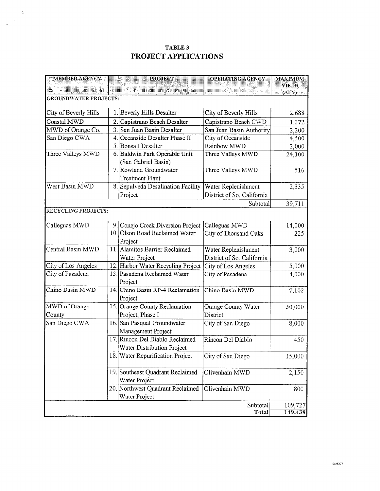# TABLE 3 PROJECT APPLICATIONS

 $\sim$   $\delta_{\rm z}$ 

 $\frac{1}{\sqrt{2}}\sum_{i=1}^{n-1}\frac{1}{i} \sum_{j=1}^{n-1} \frac{1}{j} \sum_{j=1}^{n-1} \frac{1}{j} \sum_{j=1}^{n-1} \frac{1}{j} \sum_{j=1}^{n-1} \frac{1}{j} \sum_{j=1}^{n-1} \frac{1}{j} \sum_{j=1}^{n-1} \frac{1}{j} \sum_{j=1}^{n-1} \frac{1}{j} \sum_{j=1}^{n-1} \frac{1}{j} \sum_{j=1}^{n-1} \frac{1}{j} \sum_{j=1}^{n-1} \frac{1}{j} \sum$ 

| <b>MEMBER AGENCY</b>         | <b>PROJECT</b>                                         | <b>OPERATING ACENCY</b>    | MAXIMUM      |
|------------------------------|--------------------------------------------------------|----------------------------|--------------|
|                              |                                                        |                            | <b>YIELD</b> |
| <b>GROUNDWATER PROJECTS:</b> |                                                        |                            | (AFY)        |
|                              |                                                        |                            |              |
| City of Beverly Hills        | 1. Beverly Hills Desalter                              | City of Beverly Hills      | 2,688        |
| Coastal MWD                  | 2. Capistrano Beach Desalter                           | Capistrano Beach CWD       | 1,372        |
| MWD of Orange Co.            | 3. San Juan Basin Desalter                             | San Juan Basin Authority   | 2,200        |
| San Diego CWA                | Oceanside Desalter Phase II                            | City of Oceanside          | 4,500        |
|                              | 5. Bonsall Desalter                                    | Rainbow MWD                | 2,000        |
| Three Valleys MWD            | 6. Baldwin Park Operable Unit                          | Three Valleys MWD          | 24,100       |
|                              | (San Gabriel Basin)                                    |                            |              |
|                              | 7. Rowland Groundwater                                 | Three Valleys MWD          | 516          |
|                              | <b>Treatment Plant</b>                                 |                            |              |
| West Basin MWD               | 8. Sepulveda Desalination Facility                     | Water Replenishment        | 2,335        |
|                              | Project                                                | District of So. California |              |
|                              |                                                        | Subtotal                   | 39,711       |
| RECYCLING PROJECTS:          |                                                        |                            |              |
|                              |                                                        |                            |              |
| Calleguas MWD                | 9. Conejo Creek Diversion Project Calleguas MWD        |                            | 14,000       |
|                              | 10. Olson Road Reclaimed Water                         | City of Thousand Oaks      | 225          |
|                              | Project                                                |                            |              |
| Central Basin MWD            | 11. Alamitos Barrier Reclaimed                         | Water Replenishment        | 3,000        |
|                              | Water Project                                          | District of So. California |              |
| City of Los Angeles          | 12. Harbor Water Recycling Project City of Los Angeles |                            | 5,000        |
| City of Pasadena             | 13. Pasadena Reclaimed Water                           | City of Pasadena           | 4,000        |
|                              | Project                                                |                            |              |
| Chino Basin MWD              | 14. Chino Basin RP-4 Reclamation                       | Chino Basin MWD            | 7,102        |
|                              | Project                                                |                            |              |
| MWD of Orange                | 15. Orange County Reclamation                          | Orange County Water        | 50,000       |
| County                       | Project, Phase I                                       | District                   |              |
| San Diego CWA                | 16. San Pasqual Groundwater                            | City of San Diego          | 8,000        |
|                              | Management Project                                     |                            |              |
|                              | 17. Rincon Del Diablo Reclaimed                        | Rincon Del Diablo          | 450          |
|                              | Water Distribution Project                             |                            |              |
|                              | 18. Water Repurification Project                       | City of San Diego          | 15,000       |
|                              |                                                        |                            |              |
|                              | 19. Southeast Quadrant Reclaimed                       | Olivenhain MWD             | 2,150        |
|                              | Water Project                                          |                            |              |
|                              | 20. Northwest Quadrant Reclaimed                       | Olivenhain MWD             | 800          |
|                              | Water Project                                          |                            |              |
|                              |                                                        | Subtotal                   | 109,727      |
|                              |                                                        | Total                      | 149,438      |

 $\frac{1}{4}$ 

 $\hat{\boldsymbol{\gamma}}$ 

 $\frac{1}{2}$